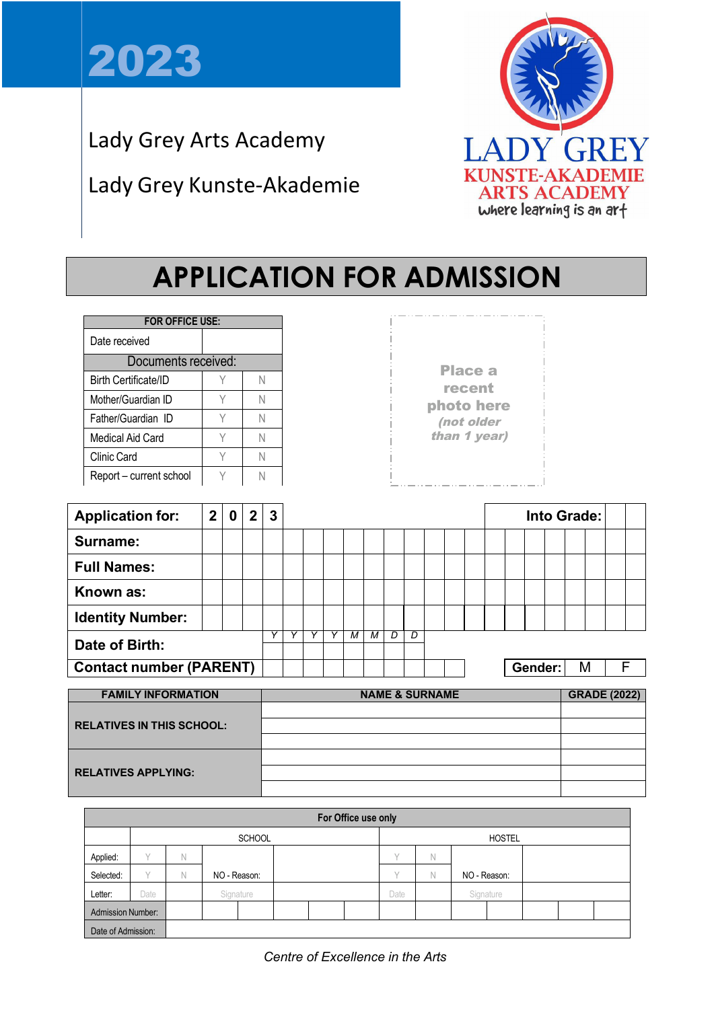

Lady Grey Arts Academy

# Lady Grey Kunste-Akademie



# **APPLICATION FOR ADMISSION**

| <b>FOR OFFICE USE:</b>      |  |  |  |  |  |  |  |
|-----------------------------|--|--|--|--|--|--|--|
| Date received               |  |  |  |  |  |  |  |
| Documents received:         |  |  |  |  |  |  |  |
| <b>Birth Certificate/ID</b> |  |  |  |  |  |  |  |
| Mother/Guardian ID          |  |  |  |  |  |  |  |
| Father/Guardian ID          |  |  |  |  |  |  |  |
| Medical Aid Card            |  |  |  |  |  |  |  |
| Clinic Card                 |  |  |  |  |  |  |  |
| Report – current school     |  |  |  |  |  |  |  |

Place a recent photo here (not older than 1 year)

| <b>Application for:</b>        | $\mathbf{2}$ | 0 | 2 <sup>1</sup> | 3 |   |   |   |   |  |                          |  | Into Grade: |  |         |  |   |              |  |
|--------------------------------|--------------|---|----------------|---|---|---|---|---|--|--------------------------|--|-------------|--|---------|--|---|--------------|--|
| Surname:                       |              |   |                |   |   |   |   |   |  |                          |  |             |  |         |  |   |              |  |
| <b>Full Names:</b>             |              |   |                |   |   |   |   |   |  |                          |  |             |  |         |  |   |              |  |
| Known as:                      |              |   |                |   |   |   |   |   |  |                          |  |             |  |         |  |   |              |  |
| <b>Identity Number:</b>        |              |   |                |   |   |   |   |   |  |                          |  |             |  |         |  |   |              |  |
| Date of Birth:                 |              |   |                |   | М | м | D | D |  |                          |  |             |  |         |  |   |              |  |
| <b>Contact number (PARENT)</b> |              |   |                |   |   |   |   |   |  |                          |  |             |  | Gender: |  | M | F            |  |
| <b>FABULY INFORMATION</b>      |              |   |                |   |   |   |   |   |  | <b>NIABLE O OURNIARE</b> |  |             |  |         |  |   | ABABE (AAAA) |  |

| <b>FAMILY INFORMATION</b>        | <b>NAME &amp; SURNAME</b> | <b>GRADE (2022)</b> |
|----------------------------------|---------------------------|---------------------|
|                                  |                           |                     |
| <b>RELATIVES IN THIS SCHOOL:</b> |                           |                     |
|                                  |                           |                     |
|                                  |                           |                     |
| <b>RELATIVES APPLYING:</b>       |                           |                     |
|                                  |                           |                     |

|                          | For Office use only |   |               |  |               |              |             |              |           |  |  |  |  |
|--------------------------|---------------------|---|---------------|--|---------------|--------------|-------------|--------------|-----------|--|--|--|--|
|                          |                     |   | <b>SCHOOL</b> |  | <b>HOSTEL</b> |              |             |              |           |  |  |  |  |
| Applied:                 | $\checkmark$        | Ν |               |  |               | $\checkmark$ | Ν           |              |           |  |  |  |  |
| Selected:                | $\vee$              | Ν | NO - Reason:  |  |               | $\sqrt{}$    | $\mathbb N$ | NO - Reason: |           |  |  |  |  |
| Letter:                  | Date                |   | Signature     |  |               | Date         |             |              | Signature |  |  |  |  |
| <b>Admission Number:</b> |                     |   |               |  |               |              |             |              |           |  |  |  |  |
| Date of Admission:       |                     |   |               |  |               |              |             |              |           |  |  |  |  |